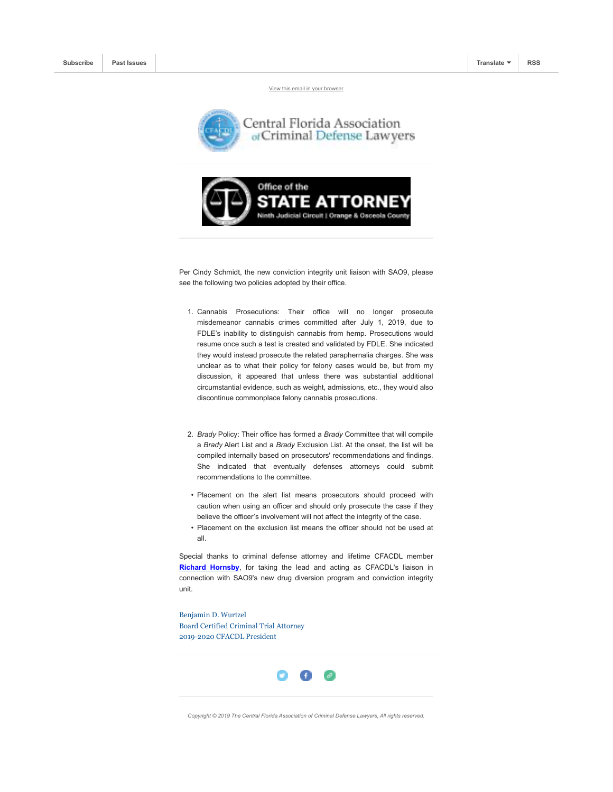View this email in your browser





Per Cindy Schmidt, the new conviction integrity unit liaison with SAO9, please see the following two policies adopted by their office.

- 1. Cannabis Prosecutions: Their office will no longer prosecute misdemeanor cannabis crimes committed after July 1, 2019, due to FDLE's inability to distinguish cannabis from hemp. Prosecutions would resume once such a test is created and validated by FDLE. She indicated they would instead prosecute the related paraphernalia charges. She was unclear as to what their policy for felony cases would be, but from my discussion, it appeared that unless there was substantial additional circumstantial evidence, such as weight, admissions, etc., they would also discontinue commonplace felony cannabis prosecutions.
- 2. *Brady* Policy: Their office has formed a *Brady* Committee that will compile a *Brady* Alert List and a *Brady* Exclusion List. At the onset, the list will be compiled internally based on prosecutors' recommendations and findings. She indicated that eventually defenses attorneys could submit recommendations to the committee.
- Placement on the alert list means prosecutors should proceed with caution when using an officer and should only prosecute the case if they believe the officer's involvement will not affect the integrity of the case.
- Placement on the exclusion list means the officer should not be used at all.

Special thanks to criminal defense attorney and lifetime CFACDL member **Richard Hornsby**, for taking the lead and acting as CFACDL's liaison in connection with SAO9's new drug diversion program and conviction integrity unit.

Benjamin D. Wurtzel Board Certified Criminal Trial Attorney 2019-2020 CFACDL President



*Copyright © 2019 The Central Florida Association of Criminal Defense Lawyers, All rights reserved.*